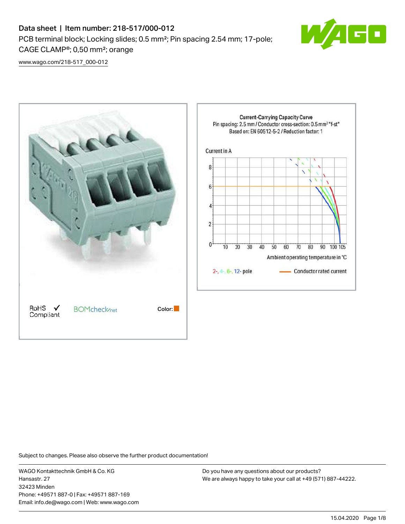# Data sheet | Item number: 218-517/000-012 PCB terminal block; Locking slides; 0.5 mm²; Pin spacing 2.54 mm; 17-pole; CAGE CLAMP®; 0,50 mm²; orange



[www.wago.com/218-517\\_000-012](http://www.wago.com/218-517_000-012)



Subject to changes. Please also observe the further product documentation!

WAGO Kontakttechnik GmbH & Co. KG Hansastr. 27 32423 Minden Phone: +49571 887-0 | Fax: +49571 887-169 Email: info.de@wago.com | Web: www.wago.com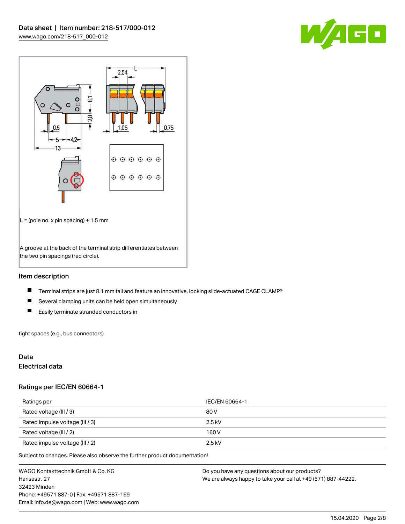



## Item description

- $\blacksquare$ Terminal strips are just 8.1 mm tall and feature an innovative, locking slide-actuated CAGE CLAMP®
- $\blacksquare$ Several clamping units can be held open simultaneously
- $\blacksquare$ Easily terminate stranded conductors in

tight spaces (e.g., bus connectors)

### Data

#### Electrical data

#### Ratings per IEC/EN 60664-1

| Ratings per                     | IEC/EN 60664-1 |
|---------------------------------|----------------|
| Rated voltage (III / 3)         | 80 V           |
| Rated impulse voltage (III / 3) | $2.5$ kV       |
| Rated voltage (III / 2)         | 160 V          |
| Rated impulse voltage (III / 2) | $2.5$ kV       |

Subject to changes. Please also observe the further product documentation!

WAGO Kontakttechnik GmbH & Co. KG Hansastr. 27 32423 Minden Phone: +49571 887-0 | Fax: +49571 887-169 Email: info.de@wago.com | Web: www.wago.com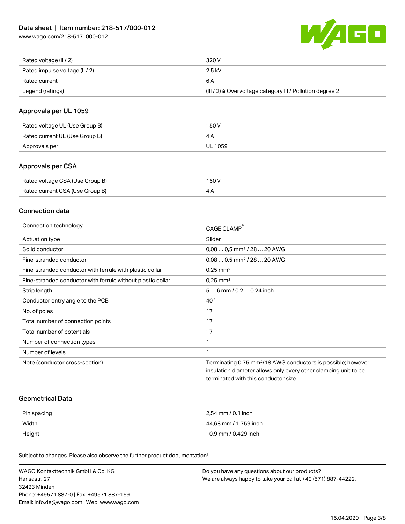[www.wago.com/218-517\\_000-012](http://www.wago.com/218-517_000-012)



| Rated voltage (II / 2)         | 320 V                                                                 |
|--------------------------------|-----------------------------------------------------------------------|
| Rated impulse voltage (II / 2) | 2.5 kV                                                                |
| Rated current                  | 6 A                                                                   |
| Legend (ratings)               | $(III / 2)$ $\triangle$ Overvoltage category III / Pollution degree 2 |

## Approvals per UL 1059

| Rated voltage UL (Use Group B) | 150 V   |
|--------------------------------|---------|
| Rated current UL (Use Group B) |         |
| Approvals per                  | UL 1059 |

## Approvals per CSA

| Rated voltage CSA (Use Group B) | 150 V |
|---------------------------------|-------|
| Rated current CSA (Use Group B) |       |

### Connection data

| Connection technology                                       | CAGE CLAMP                                                               |
|-------------------------------------------------------------|--------------------------------------------------------------------------|
| Actuation type                                              | Slider                                                                   |
| Solid conductor                                             | $0.080.5$ mm <sup>2</sup> / 28  20 AWG                                   |
| Fine-stranded conductor                                     | $0,080,5$ mm <sup>2</sup> / 28  20 AWG                                   |
| Fine-stranded conductor with ferrule with plastic collar    | $0.25$ mm <sup>2</sup>                                                   |
| Fine-stranded conductor with ferrule without plastic collar | $0.25$ mm <sup>2</sup>                                                   |
| Strip length                                                | 56 mm / 0.2 0.24 inch                                                    |
| Conductor entry angle to the PCB                            | $40^{\circ}$                                                             |
| No. of poles                                                | 17                                                                       |
| Total number of connection points                           | 17                                                                       |
| Total number of potentials                                  | 17                                                                       |
| Number of connection types                                  | 1                                                                        |
| Number of levels                                            |                                                                          |
| Note (conductor cross-section)                              | Terminating 0.75 mm <sup>2</sup> /18 AWG conductors is possible; however |
|                                                             | insulation diameter allows only every other clamping unit to be          |
|                                                             | terminated with this conductor size.                                     |
|                                                             |                                                                          |

#### Geometrical Data

| Pin spacing | 2,54 mm / 0.1 inch    |
|-------------|-----------------------|
| Width       | 44,68 mm / 1.759 inch |
| Height      | 10,9 mm / 0.429 inch  |

Subject to changes. Please also observe the further product documentation!

| WAGO Kontakttechnik GmbH & Co. KG           | Do you have any questions about our products?                 |
|---------------------------------------------|---------------------------------------------------------------|
| Hansastr. 27                                | We are always happy to take your call at +49 (571) 887-44222. |
| 32423 Minden                                |                                                               |
| Phone: +49571 887-01 Fax: +49571 887-169    |                                                               |
| Email: info.de@wago.com   Web: www.wago.com |                                                               |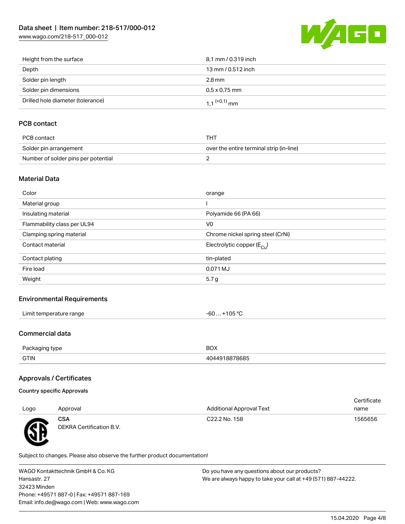[www.wago.com/218-517\\_000-012](http://www.wago.com/218-517_000-012)



| Height from the surface           | 8.1 mm / 0.319 inch        |
|-----------------------------------|----------------------------|
| Depth                             | 13 mm / 0.512 inch         |
| Solder pin length                 | 2.8 mm                     |
| Solder pin dimensions             | $0.5 \times 0.75$ mm       |
| Drilled hole diameter (tolerance) | $1.1$ <sup>(+0,1)</sup> mm |

## PCB contact

| PCB contact                         | THT                                      |
|-------------------------------------|------------------------------------------|
| Solder pin arrangement              | over the entire terminal strip (in-line) |
| Number of solder pins per potential |                                          |

#### Material Data

| Color                       | orange                                |
|-----------------------------|---------------------------------------|
| Material group              |                                       |
| Insulating material         | Polyamide 66 (PA 66)                  |
| Flammability class per UL94 | V <sub>0</sub>                        |
| Clamping spring material    | Chrome nickel spring steel (CrNi)     |
| Contact material            | Electrolytic copper $(E_{\text{Cu}})$ |
| Contact plating             | tin-plated                            |
| Fire load                   | 0.071 MJ                              |
| Weight                      | 5.7g                                  |
|                             |                                       |

#### Environmental Requirements

| $\cdots$            |        |
|---------------------|--------|
| * temperature range | 105 °C |
| ∟imit∴              | -n     |
|                     | w      |
|                     |        |

## Commercial data

| $D_{\alpha}$ | <b>BOX</b> |
|--------------|------------|
| :kadind tvbe |            |
| <b>GTIN</b>  | 78685      |

## Approvals / Certificates

# Country specific Approvals

| Logo | Approval                               | <b>Additional Approval Text</b> | Certificate<br>name |
|------|----------------------------------------|---------------------------------|---------------------|
| Æ    | <b>CSA</b><br>DEKRA Certification B.V. | C22.2 No. 158                   | 1565656             |

Subject to changes. Please also observe the further product documentation!

WAGO Kontakttechnik GmbH & Co. KG Hansastr. 27 32423 Minden Phone: +49571 887-0 | Fax: +49571 887-169 Email: info.de@wago.com | Web: www.wago.com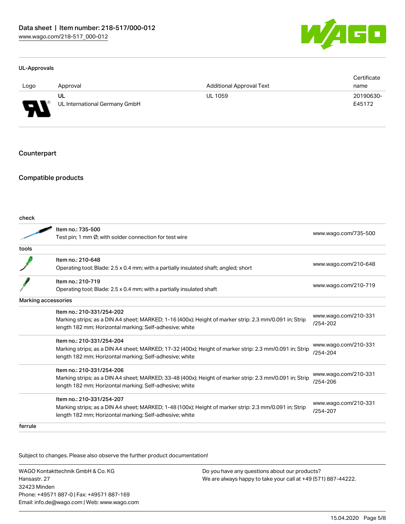

#### UL-Approvals

|                               |                               |                                 | Certificate |
|-------------------------------|-------------------------------|---------------------------------|-------------|
| Logo                          | Approval                      | <b>Additional Approval Text</b> | name        |
|                               | UL                            | <b>UL 1059</b>                  | 20190630-   |
| J<br>$\overline{\phantom{a}}$ | UL International Germany GmbH |                                 | E45172      |

#### **Counterpart**

#### Compatible products

| check               |                                                                                                         |                      |  |
|---------------------|---------------------------------------------------------------------------------------------------------|----------------------|--|
|                     | Item no.: 735-500<br>Test pin; 1 mm Ø; with solder connection for test wire                             | www.wago.com/735-500 |  |
| tools               |                                                                                                         |                      |  |
|                     |                                                                                                         |                      |  |
|                     | Item no.: 210-648                                                                                       | www.wago.com/210-648 |  |
|                     | Operating tool; Blade: 2.5 x 0.4 mm; with a partially insulated shaft; angled; short                    |                      |  |
|                     | Item no.: 210-719                                                                                       |                      |  |
|                     | Operating tool; Blade: 2.5 x 0.4 mm; with a partially insulated shaft                                   | www.wago.com/210-719 |  |
| Marking accessories |                                                                                                         |                      |  |
|                     | Item no.: 210-331/254-202                                                                               |                      |  |
|                     | Marking strips; as a DIN A4 sheet; MARKED; 1-16 (400x); Height of marker strip: 2.3 mm/0.091 in; Strip  | www.wago.com/210-331 |  |
|                     | length 182 mm; Horizontal marking; Self-adhesive; white                                                 | $/254 - 202$         |  |
|                     | Item no.: 210-331/254-204                                                                               |                      |  |
|                     | Marking strips; as a DIN A4 sheet; MARKED; 17-32 (400x); Height of marker strip: 2.3 mm/0.091 in; Strip | www.wago.com/210-331 |  |
|                     | length 182 mm; Horizontal marking; Self-adhesive; white                                                 | /254-204             |  |
|                     | Item no.: 210-331/254-206                                                                               |                      |  |
|                     | Marking strips; as a DIN A4 sheet; MARKED; 33-48 (400x); Height of marker strip: 2.3 mm/0.091 in; Strip | www.wago.com/210-331 |  |
|                     | length 182 mm; Horizontal marking; Self-adhesive; white                                                 | /254-206             |  |
|                     | Item no.: 210-331/254-207                                                                               |                      |  |
|                     | Marking strips; as a DIN A4 sheet; MARKED; 1-48 (100x); Height of marker strip: 2.3 mm/0.091 in; Strip  | www.wago.com/210-331 |  |
|                     | length 182 mm; Horizontal marking; Self-adhesive; white                                                 | /254-207             |  |
| ferrule             |                                                                                                         |                      |  |
|                     |                                                                                                         |                      |  |

Subject to changes. Please also observe the further product documentation!

WAGO Kontakttechnik GmbH & Co. KG Hansastr. 27 32423 Minden Phone: +49571 887-0 | Fax: +49571 887-169 Email: info.de@wago.com | Web: www.wago.com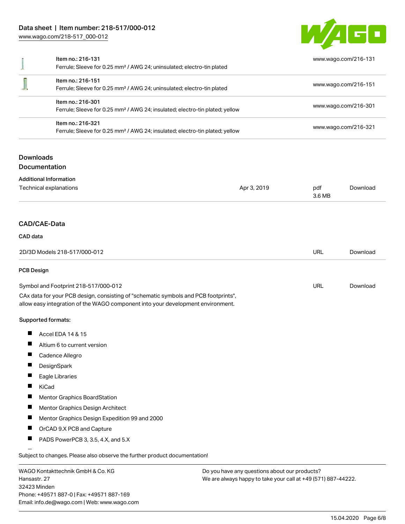# Data sheet | Item number: 218-517/000-012

[www.wago.com/218-517\\_000-012](http://www.wago.com/218-517_000-012)

32423 Minden

Phone: +49571 887-0 | Fax: +49571 887-169 Email: info.de@wago.com | Web: www.wago.com



|                              | Item no.: 216-131<br>Ferrule; Sleeve for 0.25 mm <sup>2</sup> / AWG 24; uninsulated; electro-tin plated                                                                |                                                                                                                                                                                                           |                      | www.wago.com/216-131                         |  |
|------------------------------|------------------------------------------------------------------------------------------------------------------------------------------------------------------------|-----------------------------------------------------------------------------------------------------------------------------------------------------------------------------------------------------------|----------------------|----------------------------------------------|--|
|                              | Item no.: 216-151<br>Ferrule; Sleeve for 0.25 mm <sup>2</sup> / AWG 24; uninsulated; electro-tin plated                                                                |                                                                                                                                                                                                           | www.wago.com/216-151 |                                              |  |
|                              | Item no.: 216-301                                                                                                                                                      | Ferrule; Sleeve for 0.25 mm <sup>2</sup> / AWG 24; insulated; electro-tin plated; yellow<br>Item no.: 216-321<br>Ferrule; Sleeve for 0.25 mm <sup>2</sup> / AWG 24; insulated; electro-tin plated; yellow |                      | www.wago.com/216-301<br>www.wago.com/216-321 |  |
|                              |                                                                                                                                                                        |                                                                                                                                                                                                           |                      |                                              |  |
| <b>Downloads</b>             | <b>Documentation</b>                                                                                                                                                   |                                                                                                                                                                                                           |                      |                                              |  |
|                              | <b>Additional Information</b>                                                                                                                                          |                                                                                                                                                                                                           |                      |                                              |  |
|                              | Technical explanations                                                                                                                                                 | Apr 3, 2019                                                                                                                                                                                               | pdf<br>3.6 MB        | Download                                     |  |
| CAD/CAE-Data                 |                                                                                                                                                                        |                                                                                                                                                                                                           |                      |                                              |  |
| CAD data                     |                                                                                                                                                                        |                                                                                                                                                                                                           |                      |                                              |  |
| 2D/3D Models 218-517/000-012 |                                                                                                                                                                        |                                                                                                                                                                                                           | <b>URL</b>           | Download                                     |  |
| <b>PCB Design</b>            |                                                                                                                                                                        |                                                                                                                                                                                                           |                      |                                              |  |
|                              | Symbol and Footprint 218-517/000-012                                                                                                                                   |                                                                                                                                                                                                           | <b>URL</b>           | Download                                     |  |
|                              | CAx data for your PCB design, consisting of "schematic symbols and PCB footprints",<br>allow easy integration of the WAGO component into your development environment. |                                                                                                                                                                                                           |                      |                                              |  |
|                              | Supported formats:                                                                                                                                                     |                                                                                                                                                                                                           |                      |                                              |  |
| П                            | Accel EDA 14 & 15                                                                                                                                                      |                                                                                                                                                                                                           |                      |                                              |  |
|                              | Altium 6 to current version                                                                                                                                            |                                                                                                                                                                                                           |                      |                                              |  |
|                              | Cadence Allegro                                                                                                                                                        |                                                                                                                                                                                                           |                      |                                              |  |
|                              | DesignSpark                                                                                                                                                            |                                                                                                                                                                                                           |                      |                                              |  |
| П                            | Eagle Libraries                                                                                                                                                        |                                                                                                                                                                                                           |                      |                                              |  |
|                              | KiCad                                                                                                                                                                  |                                                                                                                                                                                                           |                      |                                              |  |
|                              | Mentor Graphics BoardStation                                                                                                                                           |                                                                                                                                                                                                           |                      |                                              |  |
| П                            | Mentor Graphics Design Architect                                                                                                                                       |                                                                                                                                                                                                           |                      |                                              |  |
|                              | Mentor Graphics Design Expedition 99 and 2000                                                                                                                          |                                                                                                                                                                                                           |                      |                                              |  |
|                              | OrCAD 9.X PCB and Capture                                                                                                                                              |                                                                                                                                                                                                           |                      |                                              |  |
|                              | PADS PowerPCB 3, 3.5, 4.X, and 5.X                                                                                                                                     |                                                                                                                                                                                                           |                      |                                              |  |
|                              | Subject to changes. Please also observe the further product documentation!                                                                                             |                                                                                                                                                                                                           |                      |                                              |  |
| Hansastr. 27                 | WAGO Kontakttechnik GmbH & Co. KG                                                                                                                                      | Do you have any questions about our products?<br>We are always happy to take your call at +49 (571) 887-44222.                                                                                            |                      |                                              |  |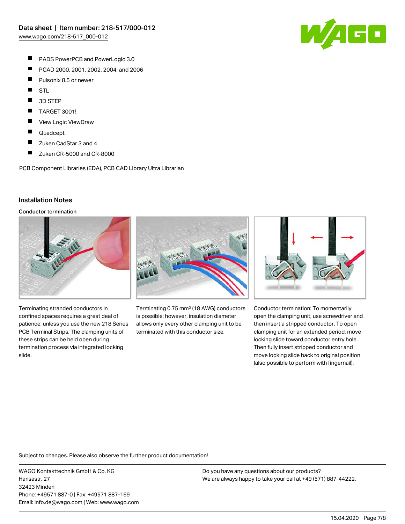- П PADS PowerPCB and PowerLogic 3.0
- $\blacksquare$ PCAD 2000, 2001, 2002, 2004, and 2006
- $\blacksquare$ Pulsonix 8.5 or newer
- $\blacksquare$ **STL**
- П 3D STEP
- П TARGET 3001!
- $\blacksquare$ View Logic ViewDraw
- $\blacksquare$ Quadcept
- $\blacksquare$ Zuken CadStar 3 and 4
- П Zuken CR-5000 and CR-8000

PCB Component Libraries (EDA), PCB CAD Library Ultra Librarian

## Installation Notes

Conductor termination



Terminating stranded conductors in confined spaces requires a great deal of patience, unless you use the new 218 Series PCB Terminal Strips. The clamping units of these strips can be held open during termination process via integrated locking slide.



Terminating 0.75 mm² (18 AWG) conductors is possible; however, insulation diameter allows only every other clamping unit to be terminated with this conductor size.



Conductor termination: To momentarily open the clamping unit, use screwdriver and then insert a stripped conductor. To open clamping unit for an extended period, move locking slide toward conductor entry hole. Then fully insert stripped conductor and move locking slide back to original position (also possible to perform with fingernail).

Subject to changes. Please also observe the further product documentation!

WAGO Kontakttechnik GmbH & Co. KG Hansastr. 27 32423 Minden Phone: +49571 887-0 | Fax: +49571 887-169 Email: info.de@wago.com | Web: www.wago.com